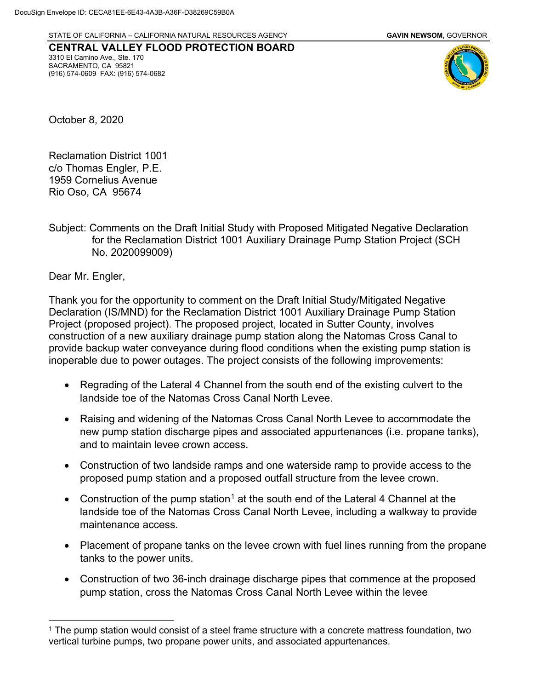STATE OF CALIFORNIA – CALIFORNIA NATURAL RESOURCES AGENCY **GAVIN NEWSOM,** GOVERNOR

**CENTRAL VALLEY FLOOD PROTECTION BOARD** 3310 El Camino Ave., Ste. 170 SACRAMENTO, CA 95821 (916) 574-0609 FAX: (916) 574-0682



October 8, 2020

Reclamation District 1001 c/o Thomas Engler, P.E. 1959 Cornelius Avenue Rio Oso, CA 95674

Subject: Comments on the Draft Initial Study with Proposed Mitigated Negative Declaration for the Reclamation District 1001 Auxiliary Drainage Pump Station Project (SCH No. 2020099009)

Dear Mr. Engler,

Thank you for the opportunity to comment on the Draft Initial Study/Mitigated Negative Declaration (IS/MND) for the Reclamation District 1001 Auxiliary Drainage Pump Station Project (proposed project). The proposed project, located in Sutter County, involves construction of a new auxiliary drainage pump station along the Natomas Cross Canal to provide backup water conveyance during flood conditions when the existing pump station is inoperable due to power outages. The project consists of the following improvements:

- Regrading of the Lateral 4 Channel from the south end of the existing culvert to the landside toe of the Natomas Cross Canal North Levee.
- Raising and widening of the Natomas Cross Canal North Levee to accommodate the new pump station discharge pipes and associated appurtenances (i.e. propane tanks), and to maintain levee crown access.
- Construction of two landside ramps and one waterside ramp to provide access to the proposed pump station and a proposed outfall structure from the levee crown.
- Construction of the pump station<sup>[1](#page--1-0)</sup> at the south end of the Lateral 4 Channel at the landside toe of the Natomas Cross Canal North Levee, including a walkway to provide maintenance access.
- Placement of propane tanks on the levee crown with fuel lines running from the propane tanks to the power units.
- Construction of two 36-inch drainage discharge pipes that commence at the proposed pump station, cross the Natomas Cross Canal North Levee within the levee

<sup>&</sup>lt;sup>1</sup> The pump station would consist of a steel frame structure with a concrete mattress foundation, two vertical turbine pumps, two propane power units, and associated appurtenances.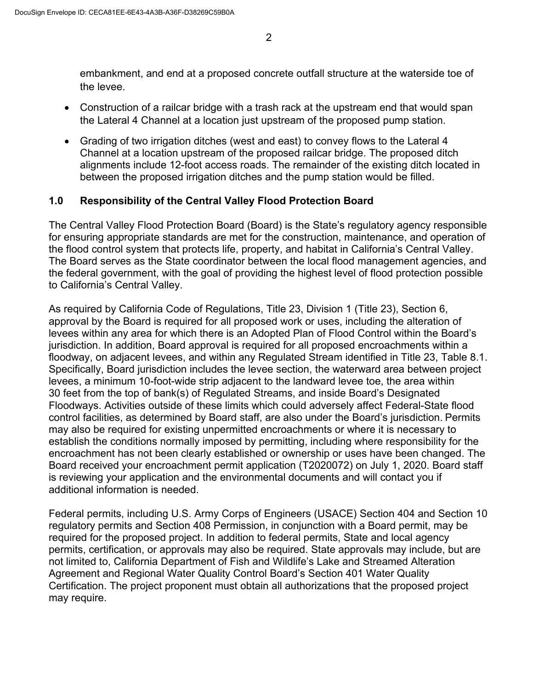embankment, and end at a proposed concrete outfall structure at the waterside toe of the levee.

- Construction of a railcar bridge with a trash rack at the upstream end that would span the Lateral 4 Channel at a location just upstream of the proposed pump station.
- Grading of two irrigation ditches (west and east) to convey flows to the Lateral 4 Channel at a location upstream of the proposed railcar bridge. The proposed ditch alignments include 12-foot access roads. The remainder of the existing ditch located in between the proposed irrigation ditches and the pump station would be filled.

## **1.0 Responsibility of the Central Valley Flood Protection Board**

The Central Valley Flood Protection Board (Board) is the State's regulatory agency responsible for ensuring appropriate standards are met for the construction, maintenance, and operation of the flood control system that protects life, property, and habitat in California's Central Valley. The Board serves as the State coordinator between the local flood management agencies, and the federal government, with the goal of providing the highest level of flood protection possible to California's Central Valley.

As required by California Code of Regulations, Title 23, Division 1 (Title 23), Section 6, approval by the Board is required for all proposed work or uses, including the alteration of levees within any area for which there is an Adopted Plan of Flood Control within the Board's jurisdiction. In addition, Board approval is required for all proposed encroachments within a floodway, on adjacent levees, and within any Regulated Stream identified in Title 23, Table 8.1. Specifically, Board jurisdiction includes the levee section, the waterward area between project levees, a minimum 10-foot-wide strip adjacent to the landward levee toe, the area within 30 feet from the top of bank(s) of Regulated Streams, and inside Board's Designated Floodways. Activities outside of these limits which could adversely affect Federal-State flood control facilities, as determined by Board staff, are also under the Board's jurisdiction. Permits may also be required for existing unpermitted encroachments or where it is necessary to establish the conditions normally imposed by permitting, including where responsibility for the encroachment has not been clearly established or ownership or uses have been changed. The Board received your encroachment permit application (T2020072) on July 1, 2020. Board staff is reviewing your application and the environmental documents and will contact you if additional information is needed.

Federal permits, including U.S. Army Corps of Engineers (USACE) Section 404 and Section 10 regulatory permits and Section 408 Permission, in conjunction with a Board permit, may be required for the proposed project. In addition to federal permits, State and local agency permits, certification, or approvals may also be required. State approvals may include, but are not limited to, California Department of Fish and Wildlife's Lake and Streamed Alteration Agreement and Regional Water Quality Control Board's Section 401 Water Quality Certification. The project proponent must obtain all authorizations that the proposed project may require.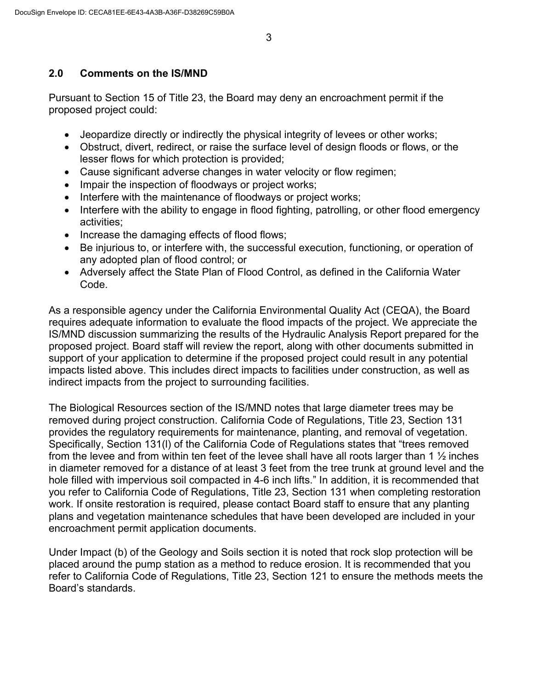## **2.0 Comments on the IS/MND**

Pursuant to Section 15 of Title 23, the Board may deny an encroachment permit if the proposed project could:

- Jeopardize directly or indirectly the physical integrity of levees or other works;
- Obstruct, divert, redirect, or raise the surface level of design floods or flows, or the lesser flows for which protection is provided;
- Cause significant adverse changes in water velocity or flow regimen;
- Impair the inspection of floodways or project works;
- Interfere with the maintenance of floodways or project works;
- Interfere with the ability to engage in flood fighting, patrolling, or other flood emergency activities;
- Increase the damaging effects of flood flows;
- Be injurious to, or interfere with, the successful execution, functioning, or operation of any adopted plan of flood control; or
- Adversely affect the State Plan of Flood Control, as defined in the California Water Code.

As a responsible agency under the California Environmental Quality Act (CEQA), the Board requires adequate information to evaluate the flood impacts of the project. We appreciate the IS/MND discussion summarizing the results of the Hydraulic Analysis Report prepared for the proposed project. Board staff will review the report, along with other documents submitted in support of your application to determine if the proposed project could result in any potential impacts listed above. This includes direct impacts to facilities under construction, as well as indirect impacts from the project to surrounding facilities.

The Biological Resources section of the IS/MND notes that large diameter trees may be removed during project construction. California Code of Regulations, Title 23, Section 131 provides the regulatory requirements for maintenance, planting, and removal of vegetation. Specifically, Section 131(l) of the California Code of Regulations states that "trees removed from the levee and from within ten feet of the levee shall have all roots larger than 1  $\frac{1}{2}$  inches in diameter removed for a distance of at least 3 feet from the tree trunk at ground level and the hole filled with impervious soil compacted in 4-6 inch lifts." In addition, it is recommended that you refer to California Code of Regulations, Title 23, Section 131 when completing restoration work. If onsite restoration is required, please contact Board staff to ensure that any planting plans and vegetation maintenance schedules that have been developed are included in your encroachment permit application documents.

Under Impact (b) of the Geology and Soils section it is noted that rock slop protection will be placed around the pump station as a method to reduce erosion. It is recommended that you refer to California Code of Regulations, Title 23, Section 121 to ensure the methods meets the Board's standards.